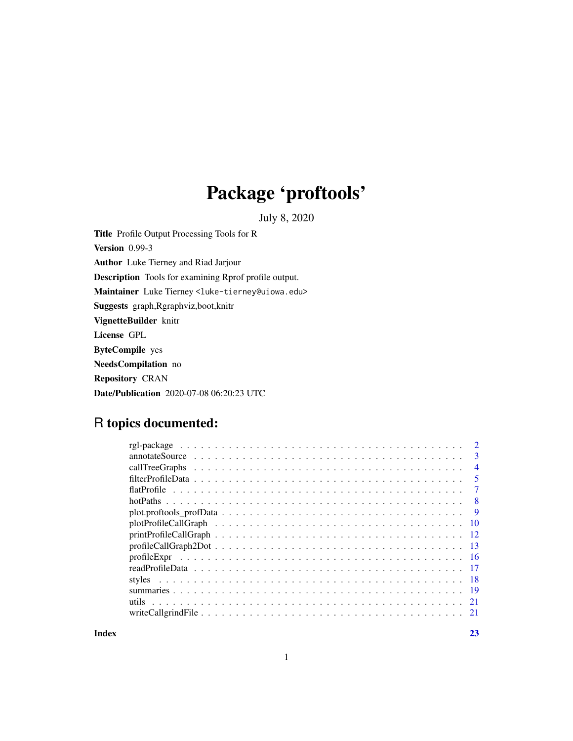# Package 'proftools'

July 8, 2020

<span id="page-0-0"></span>Title Profile Output Processing Tools for R Version 0.99-3 Author Luke Tierney and Riad Jarjour Description Tools for examining Rprof profile output. Maintainer Luke Tierney <luke-tierney@uiowa.edu> Suggests graph,Rgraphviz,boot,knitr VignetteBuilder knitr License GPL ByteCompile yes NeedsCompilation no Repository CRAN Date/Publication 2020-07-08 06:20:23 UTC

## R topics documented:

|                 | 3              |
|-----------------|----------------|
|                 | $\overline{4}$ |
|                 | 5              |
|                 |                |
|                 | -8             |
|                 | 9              |
|                 | -10            |
| printProblem 12 |                |
|                 |                |
|                 |                |
|                 |                |
|                 |                |
|                 |                |
|                 |                |
|                 |                |
|                 |                |

**Index** [23](#page-22-0)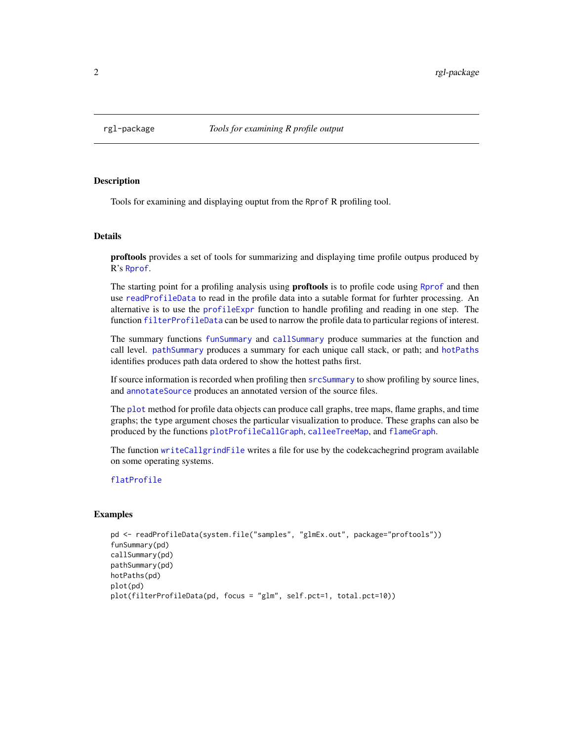<span id="page-1-0"></span>

## **Description**

Tools for examining and displaying ouptut from the Rprof R profiling tool.

#### Details

proftools provides a set of tools for summarizing and displaying time profile outpus produced by R's [Rprof](#page-0-0).

The starting point for a profiling analysis using **proftools** is to profile code using [Rprof](#page-0-0) and then use [readProfileData](#page-16-1) to read in the profile data into a sutable format for furhter processing. An alternative is to use the [profileExpr](#page-15-1) function to handle profiling and reading in one step. The function [filterProfileData](#page-4-1) can be used to narrow the profile data to particular regions of interest.

The summary functions [funSummary](#page-18-1) and [callSummary](#page-18-1) produce summaries at the function and call level. [pathSummary](#page-18-1) produces a summary for each unique call stack, or path; and [hotPaths](#page-7-1) identifies produces path data ordered to show the hottest paths first.

If source information is recorded when profiling then [srcSummary](#page-18-1) to show profiling by source lines, and [annotateSource](#page-2-1) produces an annotated version of the source files.

The [plot](#page-0-0) method for profile data objects can produce call graphs, tree maps, flame graphs, and time graphs; the type argument choses the particular visualization to produce. These graphs can also be produced by the functions [plotProfileCallGraph](#page-9-1), [calleeTreeMap](#page-3-1), and [flameGraph](#page-3-1).

The function [writeCallgrindFile](#page-20-1) writes a file for use by the codekcachegrind program available on some operating systems.

#### [flatProfile](#page-6-1)

## Examples

```
pd <- readProfileData(system.file("samples", "glmEx.out", package="proftools"))
funSummary(pd)
callSummary(pd)
pathSummary(pd)
hotPaths(pd)
plot(pd)
plot(filterProfileData(pd, focus = "glm", self.pct=1, total.pct=10))
```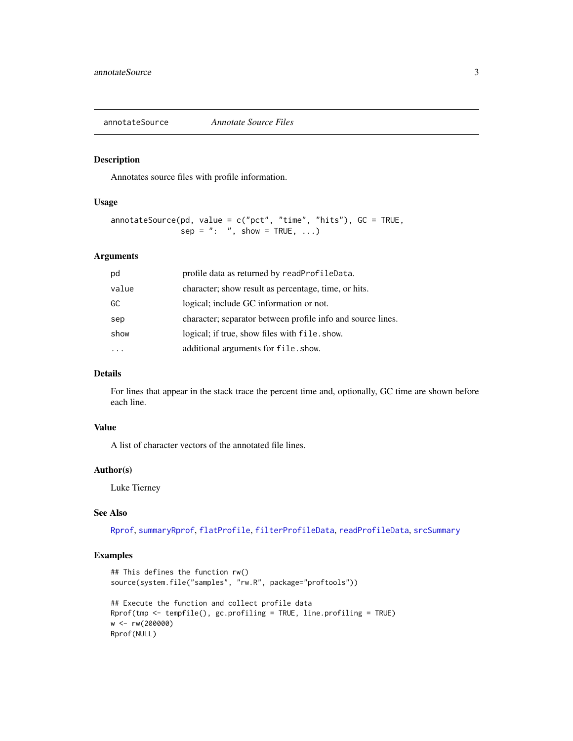<span id="page-2-1"></span><span id="page-2-0"></span>annotateSource *Annotate Source Files*

## Description

Annotates source files with profile information.

#### Usage

```
annotateSource(pd, value = c("pet", "time", "hits"), GC = TRUE,sep = ": ", show = TRUE, ...)
```
#### Arguments

| pd    | profile data as returned by readProfileData.                |
|-------|-------------------------------------------------------------|
| value | character; show result as percentage, time, or hits.        |
| GC    | logical; include GC information or not.                     |
| sep   | character; separator between profile info and source lines. |
| show  | logical; if true, show files with file. show.               |
|       | additional arguments for file.show.                         |

## Details

For lines that appear in the stack trace the percent time and, optionally, GC time are shown before each line.

## Value

A list of character vectors of the annotated file lines.

#### Author(s)

Luke Tierney

## See Also

[Rprof](#page-0-0), [summaryRprof](#page-0-0), [flatProfile](#page-6-1), [filterProfileData](#page-4-1), [readProfileData](#page-16-1), [srcSummary](#page-18-1)

## Examples

```
## This defines the function rw()
source(system.file("samples", "rw.R", package="proftools"))
## Execute the function and collect profile data
Rprof(tmp <- tempfile(), gc.profiling = TRUE, line.profiling = TRUE)
w <- rw(200000)
Rprof(NULL)
```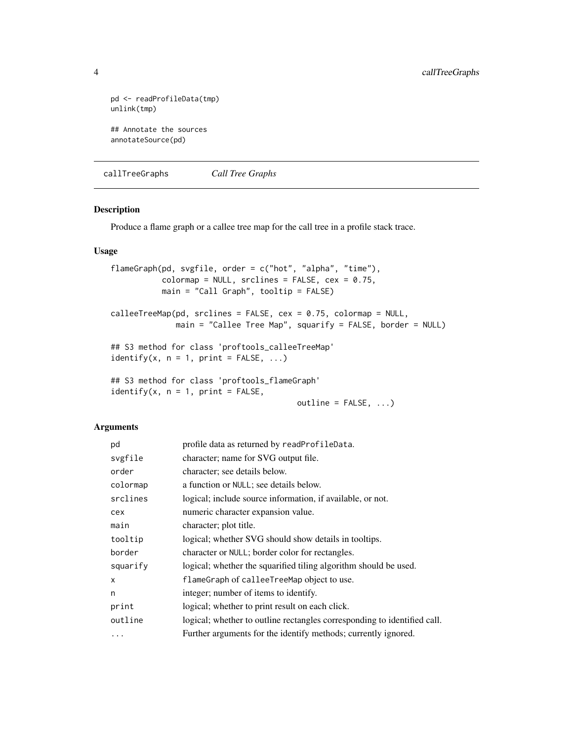```
pd <- readProfileData(tmp)
unlink(tmp)
## Annotate the sources
annotateSource(pd)
```
callTreeGraphs *Call Tree Graphs*

#### <span id="page-3-1"></span>Description

Produce a flame graph or a callee tree map for the call tree in a profile stack trace.

#### Usage

```
flameGraph(pd, svgfile, order = c("hot", "alpha", "time"),
          colormap = NULL, srclines = FALSE, cex = 0.75,
          main = "Call Graph", tooltip = FALSE)
calleeTreeMap(pd, srclines = FALSE, cex = 0.75, colormap = NULL,
             main = "Callee Tree Map", squarify = FALSE, border = NULL)
## S3 method for class 'proftools_calleeTreeMap'
identity(x, n = 1, print = FALSE, ...)## S3 method for class 'proftools_flameGraph'
identify(x, n = 1, print = FALSE,
                                        outline = FALSE, ...)
```
#### Arguments

| pd       | profile data as returned by readProfileData.                             |
|----------|--------------------------------------------------------------------------|
| svgfile  | character; name for SVG output file.                                     |
| order    | character; see details below.                                            |
| colormap | a function or NULL; see details below.                                   |
| srclines | logical; include source information, if available, or not.               |
| cex      | numeric character expansion value.                                       |
| main     | character; plot title.                                                   |
| tooltip  | logical; whether SVG should show details in tooltips.                    |
| border   | character or NULL; border color for rectangles.                          |
| squarify | logical; whether the squarified tiling algorithm should be used.         |
| X        | flameGraph of calleeTreeMap object to use.                               |
| n        | integer; number of items to identify.                                    |
| print    | logical; whether to print result on each click.                          |
| outline  | logical; whether to outline rectangles corresponding to identified call. |
| $\cdots$ | Further arguments for the identify methods; currently ignored.           |

<span id="page-3-0"></span>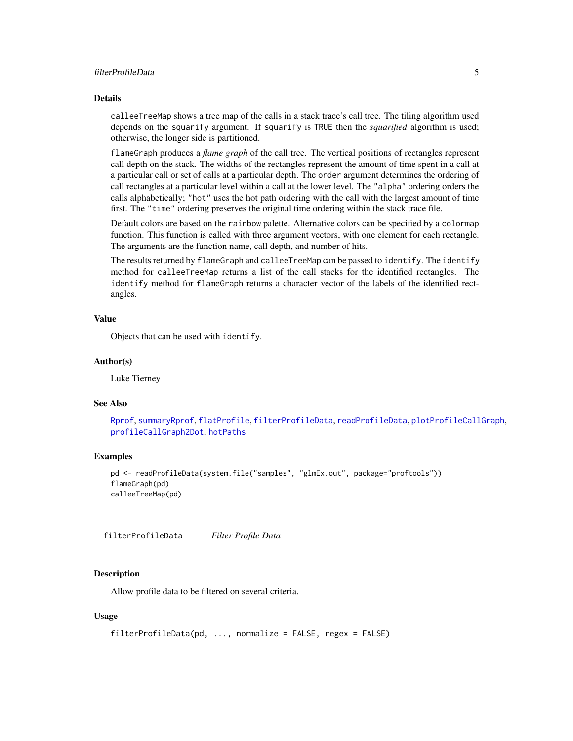#### <span id="page-4-0"></span>filterProfileData 5

#### Details

calleeTreeMap shows a tree map of the calls in a stack trace's call tree. The tiling algorithm used depends on the squarify argument. If squarify is TRUE then the *squarified* algorithm is used; otherwise, the longer side is partitioned.

flameGraph produces a *flame graph* of the call tree. The vertical positions of rectangles represent call depth on the stack. The widths of the rectangles represent the amount of time spent in a call at a particular call or set of calls at a particular depth. The order argument determines the ordering of call rectangles at a particular level within a call at the lower level. The "alpha" ordering orders the calls alphabetically; "hot" uses the hot path ordering with the call with the largest amount of time first. The "time" ordering preserves the original time ordering within the stack trace file.

Default colors are based on the rainbow palette. Alternative colors can be specified by a colormap function. This function is called with three argument vectors, with one element for each rectangle. The arguments are the function name, call depth, and number of hits.

The results returned by flameGraph and calleeTreeMap can be passed to identify. The identify method for calleeTreeMap returns a list of the call stacks for the identified rectangles. The identify method for flameGraph returns a character vector of the labels of the identified rectangles.

### Value

Objects that can be used with identify.

#### Author(s)

Luke Tierney

#### See Also

[Rprof](#page-0-0), [summaryRprof](#page-0-0), [flatProfile](#page-6-1), [filterProfileData](#page-4-1), [readProfileData](#page-16-1), [plotProfileCallGraph](#page-9-1), [profileCallGraph2Dot](#page-12-1), [hotPaths](#page-7-1)

#### Examples

```
pd <- readProfileData(system.file("samples", "glmEx.out", package="proftools"))
flameGraph(pd)
calleeTreeMap(pd)
```
<span id="page-4-1"></span>filterProfileData *Filter Profile Data*

#### Description

Allow profile data to be filtered on several criteria.

#### Usage

```
filterProfileData(pd, ..., normalize = FALSE, regex = FALSE)
```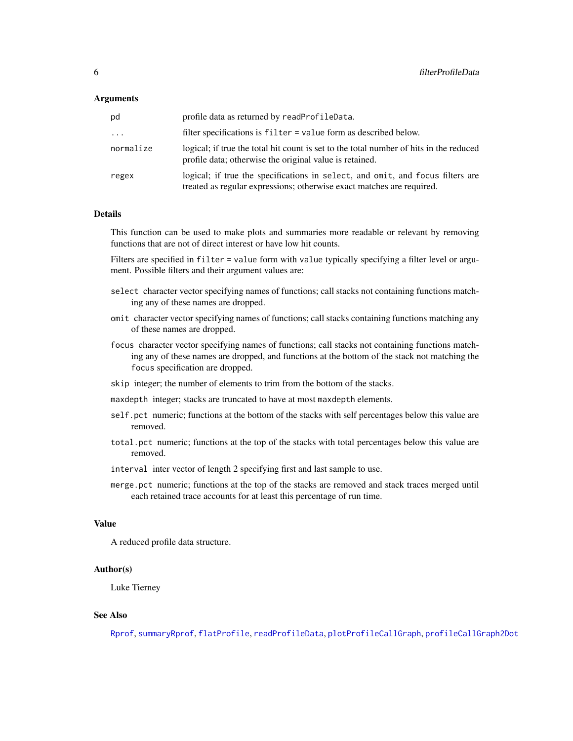#### <span id="page-5-0"></span>**Arguments**

| pd        | profile data as returned by readProfileData.                                                                                                            |
|-----------|---------------------------------------------------------------------------------------------------------------------------------------------------------|
| $\cdots$  | filter specifications is filter = value form as described below.                                                                                        |
| normalize | logical; if true the total hit count is set to the total number of hits in the reduced<br>profile data; otherwise the original value is retained.       |
| regex     | logical; if true the specifications in select, and omit, and focus filters are<br>treated as regular expressions; otherwise exact matches are required. |

## Details

This function can be used to make plots and summaries more readable or relevant by removing functions that are not of direct interest or have low hit counts.

Filters are specified in filter = value form with value typically specifying a filter level or argument. Possible filters and their argument values are:

- select character vector specifying names of functions; call stacks not containing functions matching any of these names are dropped.
- omit character vector specifying names of functions; call stacks containing functions matching any of these names are dropped.
- focus character vector specifying names of functions; call stacks not containing functions matching any of these names are dropped, and functions at the bottom of the stack not matching the focus specification are dropped.
- skip integer; the number of elements to trim from the bottom of the stacks.
- maxdepth integer; stacks are truncated to have at most maxdepth elements.
- self.pct numeric; functions at the bottom of the stacks with self percentages below this value are removed.
- total.pct numeric; functions at the top of the stacks with total percentages below this value are removed.
- interval inter vector of length 2 specifying first and last sample to use.
- merge.pct numeric; functions at the top of the stacks are removed and stack traces merged until each retained trace accounts for at least this percentage of run time.

#### Value

A reduced profile data structure.

#### Author(s)

Luke Tierney

#### See Also

[Rprof](#page-0-0), [summaryRprof](#page-0-0), [flatProfile](#page-6-1), [readProfileData](#page-16-1), [plotProfileCallGraph](#page-9-1), [profileCallGraph2Dot](#page-12-1)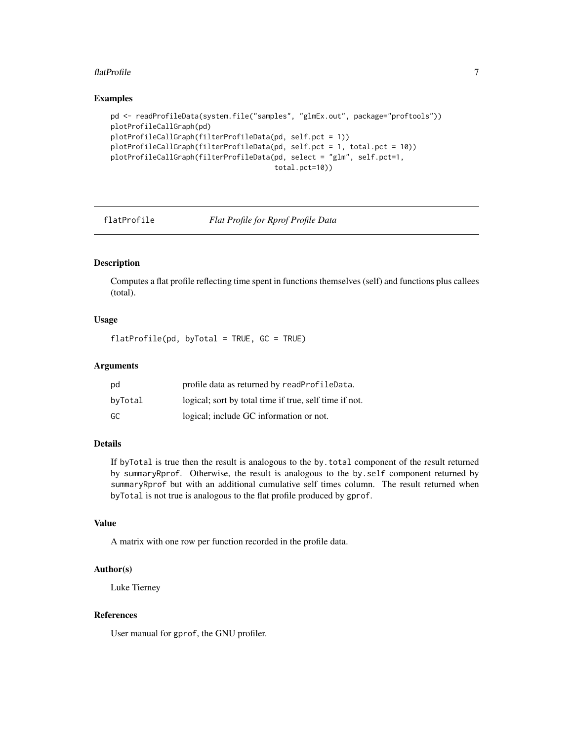#### <span id="page-6-0"></span>flatProfile 7 and 7 and 7 and 7 and 7 and 7 and 7 and 7 and 7 and 7 and 7 and 7 and 7 and 7 and 7 and 7 and 7 and 7 and 7 and 7 and 7 and 7 and 7 and 7 and 7 and 7 and 7 and 7 and 7 and 7 and 7 and 7 and 7 and 7 and 7 and

#### Examples

```
pd <- readProfileData(system.file("samples", "glmEx.out", package="proftools"))
plotProfileCallGraph(pd)
plotProfileCallGraph(filterProfileData(pd, self.pct = 1))
plotProfileCallGraph(filterProfileData(pd, self.pct = 1, total.pct = 10))
plotProfileCallGraph(filterProfileData(pd, select = "glm", self.pct=1,
                                       total.pct=10))
```
<span id="page-6-1"></span>

flatProfile *Flat Profile for Rprof Profile Data*

## Description

Computes a flat profile reflecting time spent in functions themselves (self) and functions plus callees (total).

## Usage

flatProfile(pd, byTotal = TRUE, GC = TRUE)

## **Arguments**

| pd      | profile data as returned by readProfileData.           |
|---------|--------------------------------------------------------|
| byTotal | logical; sort by total time if true, self time if not. |
| GC      | logical; include GC information or not.                |

## Details

If byTotal is true then the result is analogous to the by.total component of the result returned by summaryRprof. Otherwise, the result is analogous to the by.self component returned by summaryRprof but with an additional cumulative self times column. The result returned when byTotal is not true is analogous to the flat profile produced by gprof.

#### Value

A matrix with one row per function recorded in the profile data.

#### Author(s)

Luke Tierney

#### References

User manual for gprof, the GNU profiler.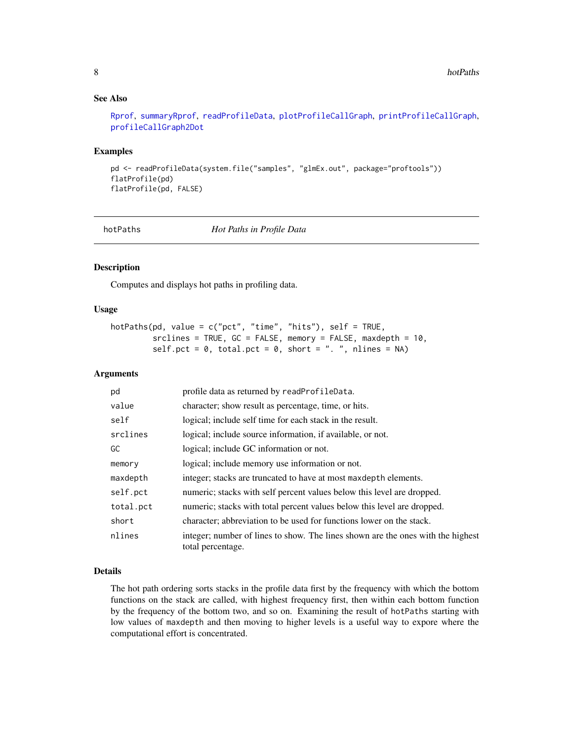## See Also

[Rprof](#page-0-0), [summaryRprof](#page-0-0), [readProfileData](#page-16-1), [plotProfileCallGraph](#page-9-1), [printProfileCallGraph](#page-11-1), [profileCallGraph2Dot](#page-12-1)

#### Examples

```
pd <- readProfileData(system.file("samples", "glmEx.out", package="proftools"))
flatProfile(pd)
flatProfile(pd, FALSE)
```
<span id="page-7-1"></span>

hotPaths *Hot Paths in Profile Data*

## Description

Computes and displays hot paths in profiling data.

#### Usage

```
hotPaths(pd, value = c("pct", "time", "hits"), self = TRUE,
         srclines = TRUE, GC = FALSE, memory = FALSE, maxdepth = 10,
         self.pct = 0, total.pct = 0, short = ". ", nlines = NA)
```
#### Arguments

| pd        | profile data as returned by readProfileData.                                                         |
|-----------|------------------------------------------------------------------------------------------------------|
| value     | character; show result as percentage, time, or hits.                                                 |
| self      | logical; include self time for each stack in the result.                                             |
| srclines  | logical; include source information, if available, or not.                                           |
| GC        | logical; include GC information or not.                                                              |
| memory    | logical; include memory use information or not.                                                      |
| maxdepth  | integer; stacks are truncated to have at most maxdepth elements.                                     |
| self.pct  | numeric; stacks with self percent values below this level are dropped.                               |
| total.pct | numeric; stacks with total percent values below this level are dropped.                              |
| short     | character; abbreviation to be used for functions lower on the stack.                                 |
| nlines    | integer; number of lines to show. The lines shown are the ones with the highest<br>total percentage. |

## Details

The hot path ordering sorts stacks in the profile data first by the frequency with which the bottom functions on the stack are called, with highest frequency first, then within each bottom function by the frequency of the bottom two, and so on. Examining the result of hotPaths starting with low values of maxdepth and then moving to higher levels is a useful way to expore where the computational effort is concentrated.

<span id="page-7-0"></span>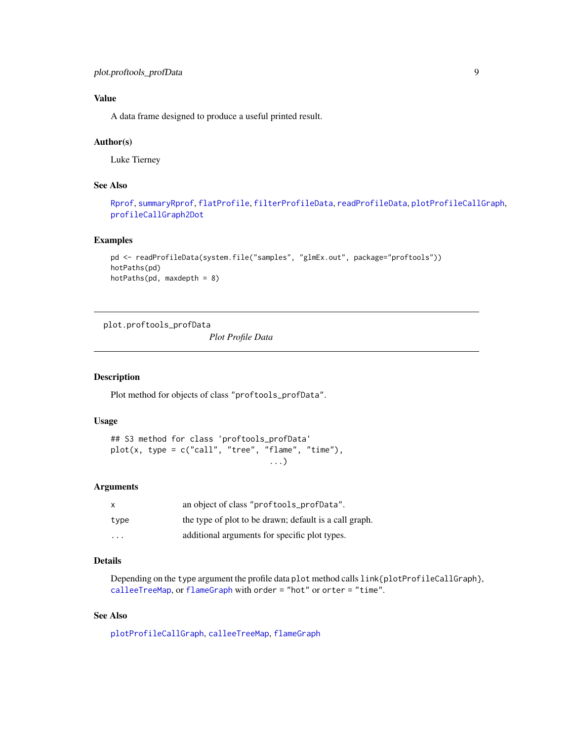## <span id="page-8-0"></span>Value

A data frame designed to produce a useful printed result.

#### Author(s)

Luke Tierney

## See Also

```
Rprof, summaryRprof, flatProfile, filterProfileData, readProfileData, plotProfileCallGraph,
profileCallGraph2Dot
```
#### Examples

```
pd <- readProfileData(system.file("samples", "glmEx.out", package="proftools"))
hotPaths(pd)
hotPaths(pd, maxdepth = 8)
```
plot.proftools\_profData

*Plot Profile Data*

#### Description

Plot method for objects of class "proftools\_profData".

## Usage

```
## S3 method for class 'proftools_profData'
plot(x, type = c("call", "tree", "flame", "time"),...)
```
#### Arguments

| X                       | an object of class "proftools_profData".               |
|-------------------------|--------------------------------------------------------|
| type                    | the type of plot to be drawn; default is a call graph. |
| $\cdot$ $\cdot$ $\cdot$ | additional arguments for specific plot types.          |

## Details

Depending on the type argument the profile data plot method calls link{plotProfileCallGraph}, [calleeTreeMap](#page-3-1), or [flameGraph](#page-3-1) with order = "hot" or orter = "time".

## See Also

[plotProfileCallGraph](#page-9-1), [calleeTreeMap](#page-3-1), [flameGraph](#page-3-1)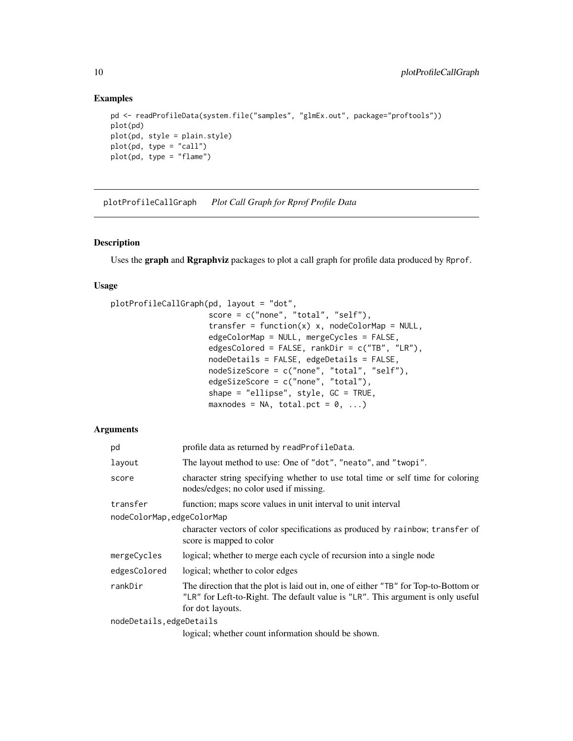#### Examples

```
pd <- readProfileData(system.file("samples", "glmEx.out", package="proftools"))
plot(pd)
plot(pd, style = plain.style)
plot(pd, type = "call")
plot(pd, type = "flame")
```
<span id="page-9-1"></span>plotProfileCallGraph *Plot Call Graph for Rprof Profile Data*

## Description

Uses the graph and Rgraphviz packages to plot a call graph for profile data produced by Rprof.

#### Usage

```
plotProfileCallGraph(pd, layout = "dot",
                     score = c("none", "total", "self"),
                     transfer = function(x) x, nodeColorMap = NULL,
                     edgeColorMap = NULL, mergeCycles = FALSE,
                     edgesColored = FALSE, rankDir = c("TB", "LR"),
                     nodeDetails = FALSE, edgeDetails = FALSE,
                     nodeSizeScore = c("none", "total", "self"),
                     edgeSizeScore = c("none", "total"),
                     shape = "ellipse", style, GC = TRUE,
                     maxnodes = NA, total.pct = 0, ...)
```
#### Arguments

| pd                         | profile data as returned by readProfileData.                                                                                                                                               |  |
|----------------------------|--------------------------------------------------------------------------------------------------------------------------------------------------------------------------------------------|--|
| layout                     | The layout method to use: One of "dot", "neato", and "twopi".                                                                                                                              |  |
| score                      | character string specifying whether to use total time or self time for coloring<br>nodes/edges; no color used if missing.                                                                  |  |
| transfer                   | function; maps score values in unit interval to unit interval                                                                                                                              |  |
| nodeColorMap, edgeColorMap |                                                                                                                                                                                            |  |
|                            | character vectors of color specifications as produced by rainbow; transfer of<br>score is mapped to color                                                                                  |  |
| mergeCycles                | logical; whether to merge each cycle of recursion into a single node                                                                                                                       |  |
| edgesColored               | logical; whether to color edges                                                                                                                                                            |  |
| rankDir                    | The direction that the plot is laid out in, one of either "TB" for Top-to-Bottom or<br>"LR" for Left-to-Right. The default value is "LR". This argument is only useful<br>for dot layouts. |  |
| nodeDetails, edgeDetails   |                                                                                                                                                                                            |  |

logical; whether count information should be shown.

<span id="page-9-0"></span>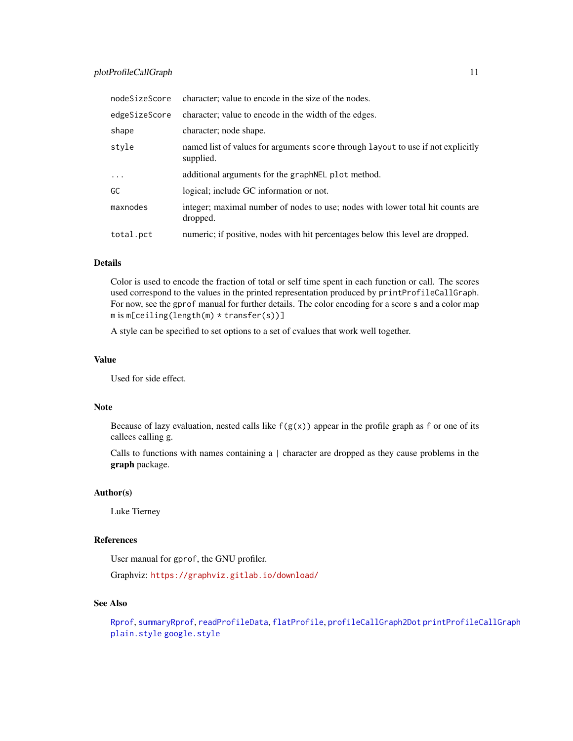<span id="page-10-0"></span>

| nodeSizeScore | character; value to encode in the size of the nodes.                                          |
|---------------|-----------------------------------------------------------------------------------------------|
| edgeSizeScore | character; value to encode in the width of the edges.                                         |
| shape         | character; node shape.                                                                        |
| style         | named list of values for arguments score through layout to use if not explicitly<br>supplied. |
| .             | additional arguments for the graphNEL plot method.                                            |
| GC            | logical; include GC information or not.                                                       |
| maxnodes      | integer; maximal number of nodes to use; nodes with lower total hit counts are<br>dropped.    |
| total.pct     | numeric; if positive, nodes with hit percentages below this level are dropped.                |

## Details

Color is used to encode the fraction of total or self time spent in each function or call. The scores used correspond to the values in the printed representation produced by printProfileCallGraph. For now, see the gprof manual for further details. The color encoding for a score s and a color map  $m$  is  $m[ceiling(length(m) * transfer(s))]$ 

A style can be specified to set options to a set of cvalues that work well together.

#### Value

Used for side effect.

#### Note

Because of lazy evaluation, nested calls like  $f(g(x))$  appear in the profile graph as f or one of its callees calling g.

Calls to functions with names containing a | character are dropped as they cause problems in the graph package.

## Author(s)

Luke Tierney

## References

User manual for gprof, the GNU profiler.

Graphviz: <https://graphviz.gitlab.io/download/>

#### See Also

[Rprof](#page-0-0), [summaryRprof](#page-0-0), [readProfileData](#page-16-1), [flatProfile](#page-6-1), [profileCallGraph2Dot](#page-12-1) [printProfileCallGraph](#page-11-1) [plain.style](#page-17-1) [google.style](#page-17-1)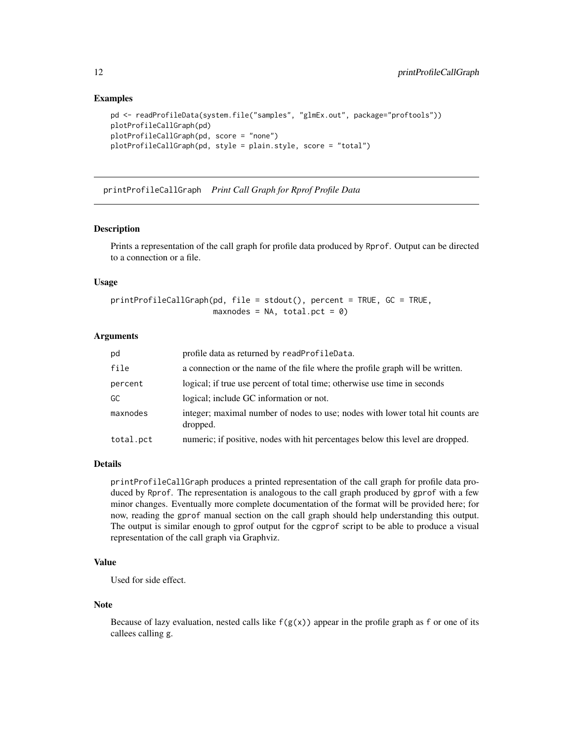#### Examples

```
pd <- readProfileData(system.file("samples", "glmEx.out", package="proftools"))
plotProfileCallGraph(pd)
plotProfileCallGraph(pd, score = "none")
plotProfileCallGraph(pd, style = plain.style, score = "total")
```
<span id="page-11-1"></span>printProfileCallGraph *Print Call Graph for Rprof Profile Data*

#### Description

Prints a representation of the call graph for profile data produced by Rprof. Output can be directed to a connection or a file.

## Usage

```
printProfileCallGraph(pd, file = stdout(), percent = TRUE, GC = TRUE,
                      maxnodes = NA, total.pct = 0)
```
#### Arguments

| pd        | profile data as returned by readProfileData.                                               |
|-----------|--------------------------------------------------------------------------------------------|
| file      | a connection or the name of the file where the profile graph will be written.              |
| percent   | logical; if true use percent of total time; otherwise use time in seconds                  |
| GC        | logical; include GC information or not.                                                    |
| maxnodes  | integer; maximal number of nodes to use; nodes with lower total hit counts are<br>dropped. |
| total.pct | numeric; if positive, nodes with hit percentages below this level are dropped.             |

#### Details

printProfileCallGraph produces a printed representation of the call graph for profile data produced by Rprof. The representation is analogous to the call graph produced by gprof with a few minor changes. Eventually more complete documentation of the format will be provided here; for now, reading the gprof manual section on the call graph should help understanding this output. The output is similar enough to gprof output for the cgprof script to be able to produce a visual representation of the call graph via Graphviz.

#### Value

Used for side effect.

#### Note

Because of lazy evaluation, nested calls like  $f(g(x))$  appear in the profile graph as f or one of its callees calling g.

<span id="page-11-0"></span>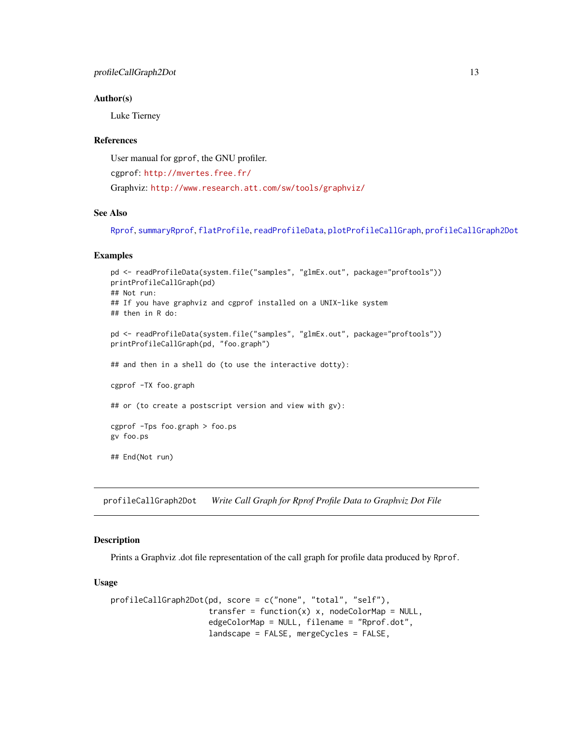#### <span id="page-12-0"></span>Author(s)

Luke Tierney

#### References

User manual for gprof, the GNU profiler.

cgprof: <http://mvertes.free.fr/>

Graphviz: <http://www.research.att.com/sw/tools/graphviz/>

#### See Also

[Rprof](#page-0-0), [summaryRprof](#page-0-0), [flatProfile](#page-6-1), [readProfileData](#page-16-1), [plotProfileCallGraph](#page-9-1), [profileCallGraph2Dot](#page-12-1)

#### Examples

```
pd <- readProfileData(system.file("samples", "glmEx.out", package="proftools"))
printProfileCallGraph(pd)
## Not run:
## If you have graphviz and cgprof installed on a UNIX-like system
## then in R do:
pd <- readProfileData(system.file("samples", "glmEx.out", package="proftools"))
printProfileCallGraph(pd, "foo.graph")
## and then in a shell do (to use the interactive dotty):
cgprof -TX foo.graph
## or (to create a postscript version and view with gv):
cgprof -Tps foo.graph > foo.ps
gv foo.ps
## End(Not run)
```
<span id="page-12-1"></span>profileCallGraph2Dot *Write Call Graph for Rprof Profile Data to Graphviz Dot File*

## Description

Prints a Graphviz .dot file representation of the call graph for profile data produced by Rprof.

#### Usage

```
profileCallGraph2Dot(pd, score = c("none", "total", "self"),
                     transfer = function(x) x, nodeColorMap = NULL,
                     edgeColorMap = NULL, filename = "Rprof.dot",
                     landscape = FALSE, mergeCycles = FALSE,
```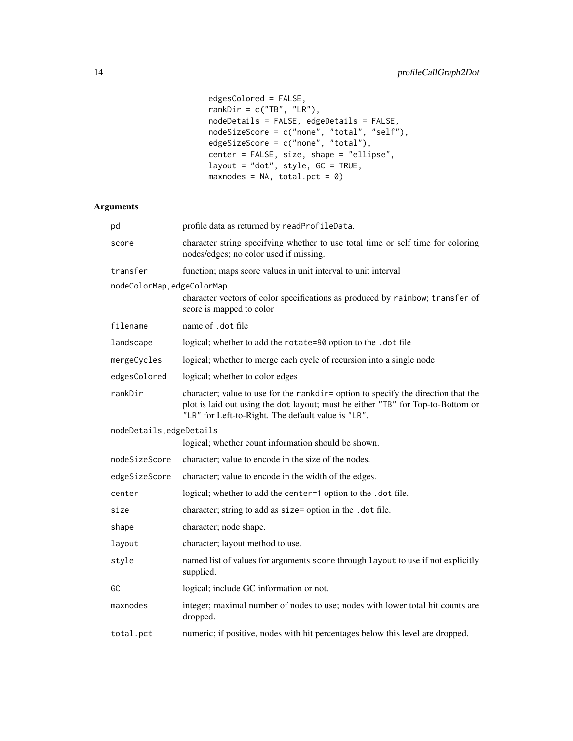```
edgesColored = FALSE,
rankDir = c("TB", "LR"),nodeDetails = FALSE, edgeDetails = FALSE,
nodeSizeScore = c("none", "total", "self"),
edgeSizeScore = c("none", "total"),
center = FALSE, size, shape = "ellipse",
layout = "dot", style, GC = TRUE,
maxnodes = NA, total.pct = 0)
```
## Arguments

| pd                         | profile data as returned by readProfileData.                                                                                                                                                                               |
|----------------------------|----------------------------------------------------------------------------------------------------------------------------------------------------------------------------------------------------------------------------|
| score                      | character string specifying whether to use total time or self time for coloring<br>nodes/edges; no color used if missing.                                                                                                  |
| transfer                   | function; maps score values in unit interval to unit interval                                                                                                                                                              |
| nodeColorMap, edgeColorMap | character vectors of color specifications as produced by rainbow; transfer of<br>score is mapped to color                                                                                                                  |
| filename                   | name of dot file                                                                                                                                                                                                           |
| landscape                  | logical; whether to add the rotate=90 option to the .dot file                                                                                                                                                              |
| mergeCycles                | logical; whether to merge each cycle of recursion into a single node                                                                                                                                                       |
| edgesColored               | logical; whether to color edges                                                                                                                                                                                            |
| rankDir                    | character; value to use for the rankdir= option to specify the direction that the<br>plot is laid out using the dot layout; must be either "TB" for Top-to-Bottom or<br>"LR" for Left-to-Right. The default value is "LR". |
| nodeDetails, edgeDetails   |                                                                                                                                                                                                                            |
|                            | logical; whether count information should be shown.                                                                                                                                                                        |
| nodeSizeScore              | character; value to encode in the size of the nodes.                                                                                                                                                                       |
| edgeSizeScore              | character; value to encode in the width of the edges.                                                                                                                                                                      |
| center                     | logical; whether to add the center=1 option to the .dot file.                                                                                                                                                              |
| size                       | character; string to add as size= option in the .dot file.                                                                                                                                                                 |
| shape                      | character; node shape.                                                                                                                                                                                                     |
| layout                     | character; layout method to use.                                                                                                                                                                                           |
| style                      | named list of values for arguments score through layout to use if not explicitly<br>supplied.                                                                                                                              |
| GC                         | logical; include GC information or not.                                                                                                                                                                                    |
| maxnodes                   | integer; maximal number of nodes to use; nodes with lower total hit counts are<br>dropped.                                                                                                                                 |
| total.pct                  | numeric; if positive, nodes with hit percentages below this level are dropped.                                                                                                                                             |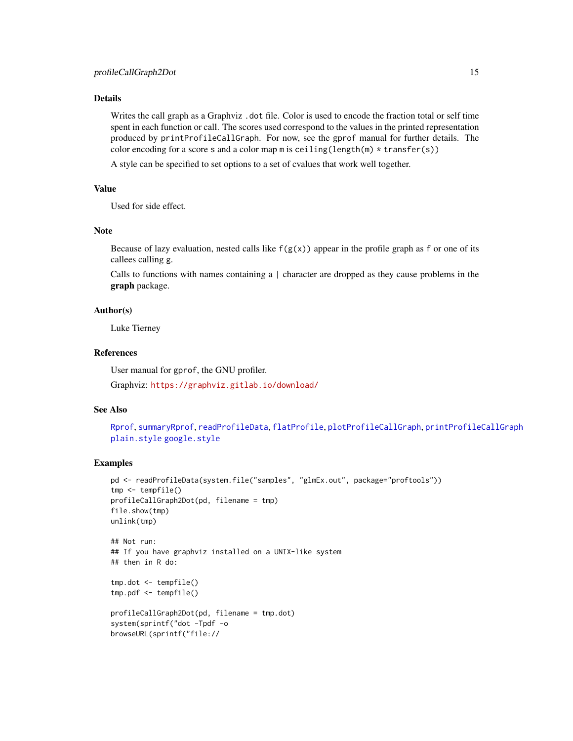## <span id="page-14-0"></span>Details

Writes the call graph as a Graphviz, dot file. Color is used to encode the fraction total or self time spent in each function or call. The scores used correspond to the values in the printed representation produced by printProfileCallGraph. For now, see the gprof manual for further details. The color encoding for a score s and a color map m is ceiling(length(m) \* transfer(s))

A style can be specified to set options to a set of cvalues that work well together.

#### Value

Used for side effect.

## Note

Because of lazy evaluation, nested calls like  $f(g(x))$  appear in the profile graph as f or one of its callees calling g.

Calls to functions with names containing a | character are dropped as they cause problems in the graph package.

#### Author(s)

Luke Tierney

#### References

User manual for gprof, the GNU profiler.

Graphviz: <https://graphviz.gitlab.io/download/>

#### See Also

[Rprof](#page-0-0), [summaryRprof](#page-0-0), [readProfileData](#page-16-1), [flatProfile](#page-6-1), [plotProfileCallGraph](#page-9-1), [printProfileCallGraph](#page-11-1) [plain.style](#page-17-1) [google.style](#page-17-1)

## Examples

```
pd <- readProfileData(system.file("samples", "glmEx.out", package="proftools"))
tmp <- tempfile()
profileCallGraph2Dot(pd, filename = tmp)
file.show(tmp)
unlink(tmp)
## Not run:
## If you have graphviz installed on a UNIX-like system
## then in R do:
tmp.dot <- tempfile()
tmp.pdf <- tempfile()
profileCallGraph2Dot(pd, filename = tmp.dot)
system(sprintf("dot -Tpdf -o
browseURL(sprintf("file://
```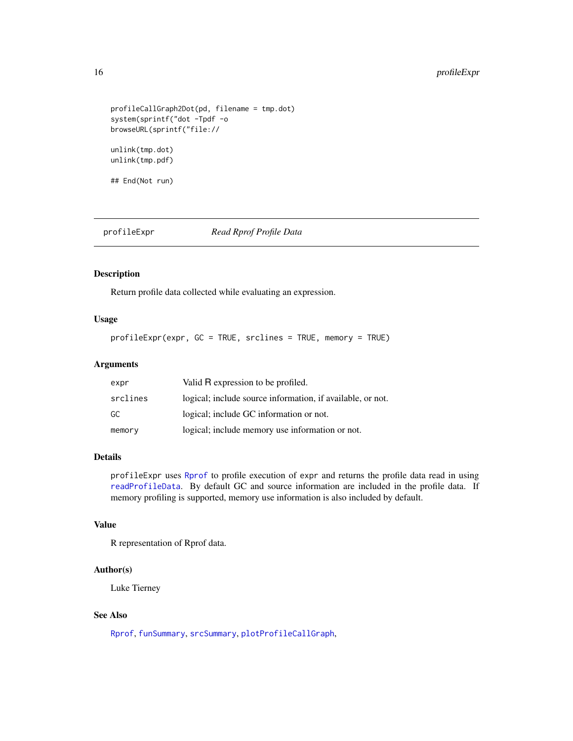## <span id="page-15-0"></span>16 profileExpr

```
profileCallGraph2Dot(pd, filename = tmp.dot)
system(sprintf("dot -Tpdf -o
browseURL(sprintf("file://
unlink(tmp.dot)
unlink(tmp.pdf)
```
## End(Not run)

<span id="page-15-1"></span>profileExpr *Read Rprof Profile Data*

## Description

Return profile data collected while evaluating an expression.

## Usage

profileExpr(expr, GC = TRUE, srclines = TRUE, memory = TRUE)

## Arguments

| expr     | Valid R expression to be profiled.                         |
|----------|------------------------------------------------------------|
| srclines | logical; include source information, if available, or not. |
| GC       | logical; include GC information or not.                    |
| memory   | logical; include memory use information or not.            |

#### Details

profileExpr uses [Rprof](#page-0-0) to profile execution of expr and returns the profile data read in using [readProfileData](#page-16-1). By default GC and source information are included in the profile data. If memory profiling is supported, memory use information is also included by default.

## Value

R representation of Rprof data.

#### Author(s)

Luke Tierney

#### See Also

[Rprof](#page-0-0), [funSummary](#page-18-1), [srcSummary](#page-18-1), [plotProfileCallGraph](#page-9-1),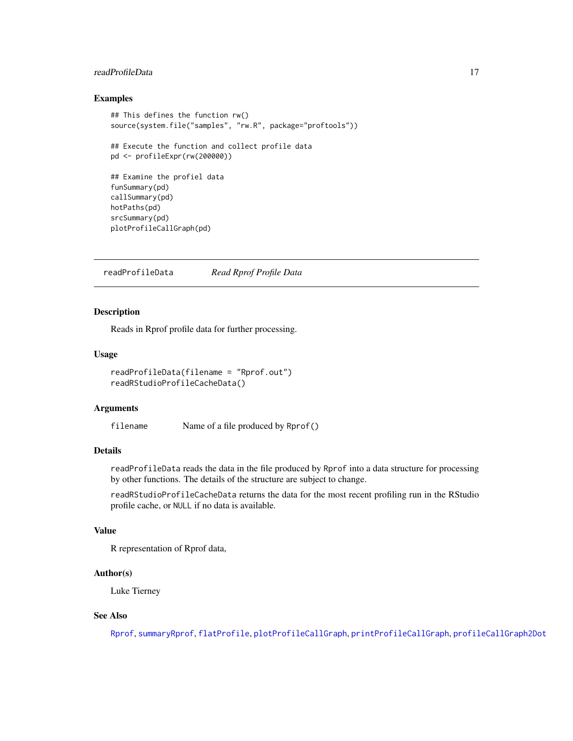## <span id="page-16-0"></span>readProfileData 17

#### Examples

```
## This defines the function rw()
source(system.file("samples", "rw.R", package="proftools"))
## Execute the function and collect profile data
pd <- profileExpr(rw(200000))
## Examine the profiel data
funSummary(pd)
callSummary(pd)
hotPaths(pd)
srcSummary(pd)
plotProfileCallGraph(pd)
```
<span id="page-16-1"></span>readProfileData *Read Rprof Profile Data*

#### Description

Reads in Rprof profile data for further processing.

## Usage

```
readProfileData(filename = "Rprof.out")
readRStudioProfileCacheData()
```
#### Arguments

filename Name of a file produced by Rprof()

## Details

readProfileData reads the data in the file produced by Rprof into a data structure for processing by other functions. The details of the structure are subject to change.

readRStudioProfileCacheData returns the data for the most recent profiling run in the RStudio profile cache, or NULL if no data is available.

#### Value

R representation of Rprof data,

### Author(s)

Luke Tierney

## See Also

[Rprof](#page-0-0), [summaryRprof](#page-0-0), [flatProfile](#page-6-1), [plotProfileCallGraph](#page-9-1), [printProfileCallGraph](#page-11-1), [profileCallGraph2Dot](#page-12-1)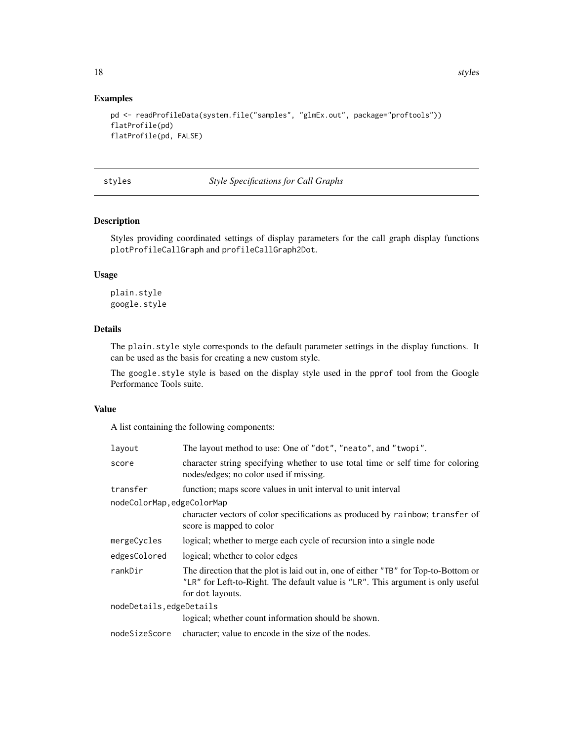18 styles and the styles of the styles styles styles styles styles styles styles styles styles styles in the styles of the styles styles styles in the styles styles in the styles of the styles styles in the styles of the s

#### Examples

```
pd <- readProfileData(system.file("samples", "glmEx.out", package="proftools"))
flatProfile(pd)
flatProfile(pd, FALSE)
```
styles *Style Specifications for Call Graphs*

## <span id="page-17-1"></span>Description

Styles providing coordinated settings of display parameters for the call graph display functions plotProfileCallGraph and profileCallGraph2Dot.

## Usage

plain.style google.style

## Details

The plain.style style corresponds to the default parameter settings in the display functions. It can be used as the basis for creating a new custom style.

The google.style style is based on the display style used in the pprof tool from the Google Performance Tools suite.

#### Value

A list containing the following components:

| layout                     | The layout method to use: One of "dot", "neato", and "twopi".                                                                                                                              |  |
|----------------------------|--------------------------------------------------------------------------------------------------------------------------------------------------------------------------------------------|--|
| score                      | character string specifying whether to use total time or self time for coloring<br>nodes/edges; no color used if missing.                                                                  |  |
| transfer                   | function; maps score values in unit interval to unit interval                                                                                                                              |  |
| nodeColorMap, edgeColorMap |                                                                                                                                                                                            |  |
|                            | character vectors of color specifications as produced by rainbow; transfer of<br>score is mapped to color                                                                                  |  |
| mergeCycles                | logical; whether to merge each cycle of recursion into a single node                                                                                                                       |  |
| edgesColored               | logical; whether to color edges                                                                                                                                                            |  |
| rankDir                    | The direction that the plot is laid out in, one of either "TB" for Top-to-Bottom or<br>"LR" for Left-to-Right. The default value is "LR". This argument is only useful<br>for dot layouts. |  |
| nodeDetails,edgeDetails    |                                                                                                                                                                                            |  |
|                            | logical; whether count information should be shown.                                                                                                                                        |  |
| nodeSizeScore              | character; value to encode in the size of the nodes.                                                                                                                                       |  |
|                            |                                                                                                                                                                                            |  |

<span id="page-17-0"></span>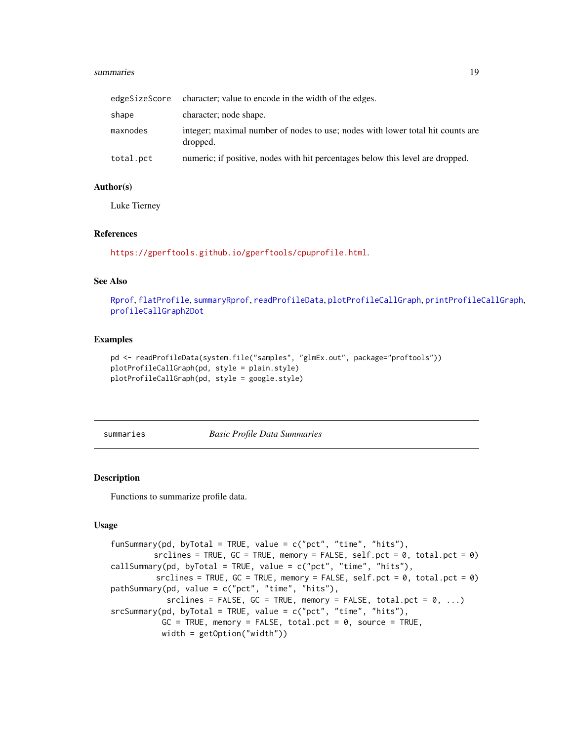#### <span id="page-18-0"></span>summaries and the state of the state of the state of the state of the state of the state of the state of the state of the state of the state of the state of the state of the state of the state of the state of the state of

| edgeSizeScore | character; value to encode in the width of the edges.                                      |
|---------------|--------------------------------------------------------------------------------------------|
| shape         | character; node shape.                                                                     |
| maxnodes      | integer; maximal number of nodes to use; nodes with lower total hit counts are<br>dropped. |
| total.pct     | numeric; if positive, nodes with hit percentages below this level are dropped.             |

## Author(s)

Luke Tierney

#### References

<https://gperftools.github.io/gperftools/cpuprofile.html>.

#### See Also

[Rprof](#page-0-0), [flatProfile](#page-6-1), [summaryRprof](#page-0-0), [readProfileData](#page-16-1), [plotProfileCallGraph](#page-9-1), [printProfileCallGraph](#page-11-1), [profileCallGraph2Dot](#page-12-1)

## Examples

```
pd <- readProfileData(system.file("samples", "glmEx.out", package="proftools"))
plotProfileCallGraph(pd, style = plain.style)
plotProfileCallGraph(pd, style = google.style)
```
summaries *Basic Profile Data Summaries*

## <span id="page-18-1"></span>Description

Functions to summarize profile data.

#### Usage

```
funSummary(pd, byTotal = TRUE, value = c("pet", "time", "hits"),srclines = TRUE, GC = TRUE, memory = FALSE, self.pct = 0, total.pct = 0)
callSummary(pd, byTotal = TRUE, value = c("pet", "time", "hits"),srclines = TRUE, GC = TRUE, memory = FALSE, self.pct = 0, total.pct = 0)
pathSummary(pd, value = c("pct", "time", "hits"),
            srclines = FALSE, GC = TRUE, memory = FALSE, total.pct = 0, ...)
srcSummary(pd, byTotal = TRUE, value = c("pct", "time", "hits"),
          GC = TRUE, memory = FALSE, total.pct = 0, source = TRUE,
          width = getOption("width"))
```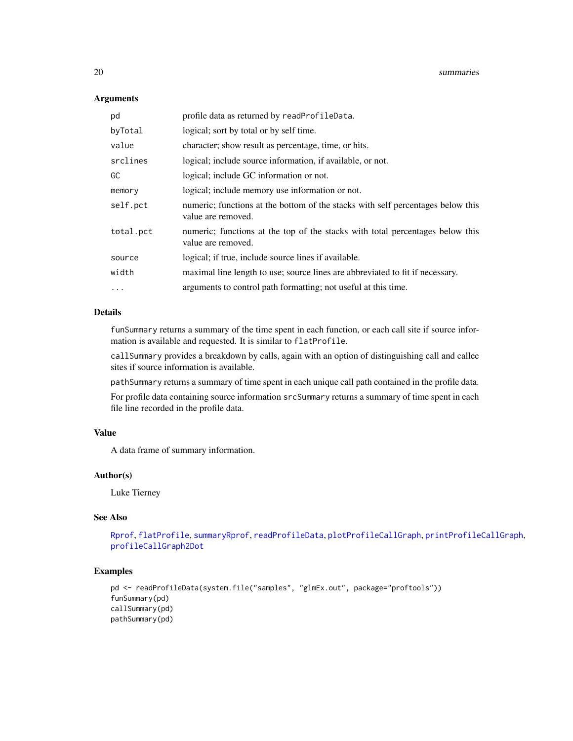## Arguments

| pd        | profile data as returned by readProfileData.                                                          |
|-----------|-------------------------------------------------------------------------------------------------------|
| byTotal   | logical; sort by total or by self time.                                                               |
| value     | character; show result as percentage, time, or hits.                                                  |
| srclines  | logical; include source information, if available, or not.                                            |
| GC        | logical; include GC information or not.                                                               |
| memory    | logical; include memory use information or not.                                                       |
| self.pct  | numeric; functions at the bottom of the stacks with self percentages below this<br>value are removed. |
| total.pct | numeric; functions at the top of the stacks with total percentages below this<br>value are removed.   |
| source    | logical; if true, include source lines if available.                                                  |
| width     | maximal line length to use; source lines are abbreviated to fit if necessary.                         |
| .         | arguments to control path formatting; not useful at this time.                                        |

## Details

funSummary returns a summary of the time spent in each function, or each call site if source information is available and requested. It is similar to flatProfile.

callSummary provides a breakdown by calls, again with an option of distinguishing call and callee sites if source information is available.

pathSummary returns a summary of time spent in each unique call path contained in the profile data.

For profile data containing source information srcSummary returns a summary of time spent in each file line recorded in the profile data.

#### Value

A data frame of summary information.

#### Author(s)

Luke Tierney

## See Also

[Rprof](#page-0-0), [flatProfile](#page-6-1), [summaryRprof](#page-0-0), [readProfileData](#page-16-1), [plotProfileCallGraph](#page-9-1), [printProfileCallGraph](#page-11-1), [profileCallGraph2Dot](#page-12-1)

## Examples

```
pd <- readProfileData(system.file("samples", "glmEx.out", package="proftools"))
funSummary(pd)
callSummary(pd)
pathSummary(pd)
```
<span id="page-19-0"></span>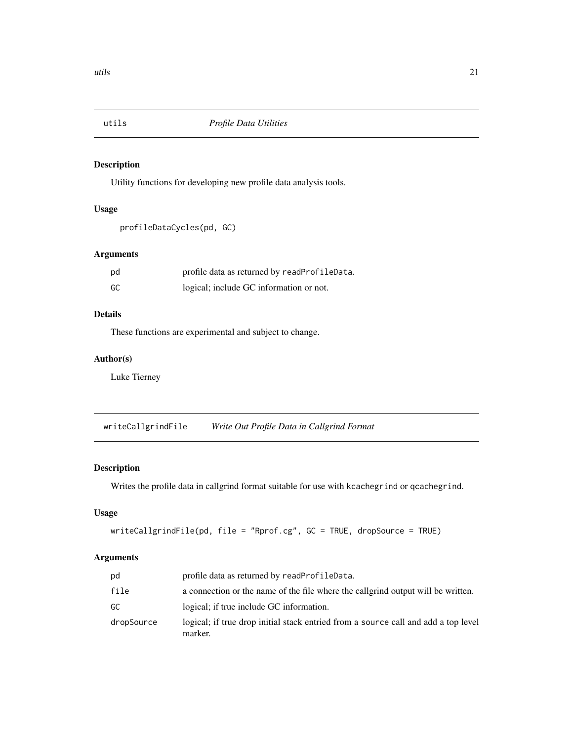<span id="page-20-0"></span>

## Description

Utility functions for developing new profile data analysis tools.

#### Usage

```
profileDataCycles(pd, GC)
```
## Arguments

| pd | profile data as returned by readProfileData. |
|----|----------------------------------------------|
| GC | logical; include GC information or not.      |

## Details

These functions are experimental and subject to change.

## Author(s)

Luke Tierney

<span id="page-20-1"></span>writeCallgrindFile *Write Out Profile Data in Callgrind Format*

## Description

Writes the profile data in callgrind format suitable for use with kcachegrind or qcachegrind.

## Usage

```
writeCallgrindFile(pd, file = "Rprof.cg", GC = TRUE, dropSource = TRUE)
```
#### Arguments

| pd         | profile data as returned by readProfileData.                                                  |
|------------|-----------------------------------------------------------------------------------------------|
| file       | a connection or the name of the file where the callering output will be written.              |
| GC         | logical; if true include GC information.                                                      |
| dropSource | logical; if true drop initial stack entried from a source call and add a top level<br>marker. |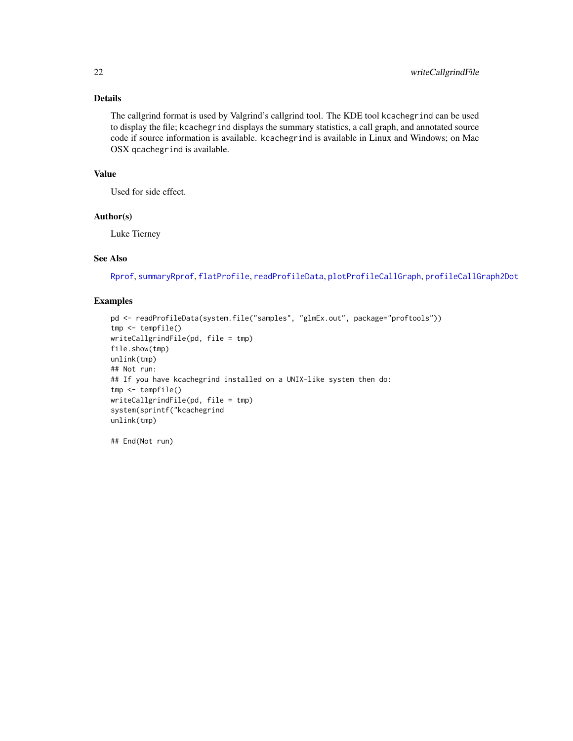## <span id="page-21-0"></span>Details

The callgrind format is used by Valgrind's callgrind tool. The KDE tool kcachegrind can be used to display the file; kcachegrind displays the summary statistics, a call graph, and annotated source code if source information is available. kcachegrind is available in Linux and Windows; on Mac OSX qcachegrind is available.

## Value

Used for side effect.

## Author(s)

Luke Tierney

#### See Also

[Rprof](#page-0-0), [summaryRprof](#page-0-0), [flatProfile](#page-6-1), [readProfileData](#page-16-1), [plotProfileCallGraph](#page-9-1), [profileCallGraph2Dot](#page-12-1)

#### Examples

```
pd <- readProfileData(system.file("samples", "glmEx.out", package="proftools"))
tmp <- tempfile()
writeCallgrindFile(pd, file = tmp)
file.show(tmp)
unlink(tmp)
## Not run:
## If you have kcachegrind installed on a UNIX-like system then do:
tmp <- tempfile()
writeCallgrindFile(pd, file = tmp)
system(sprintf("kcachegrind
unlink(tmp)
```
## End(Not run)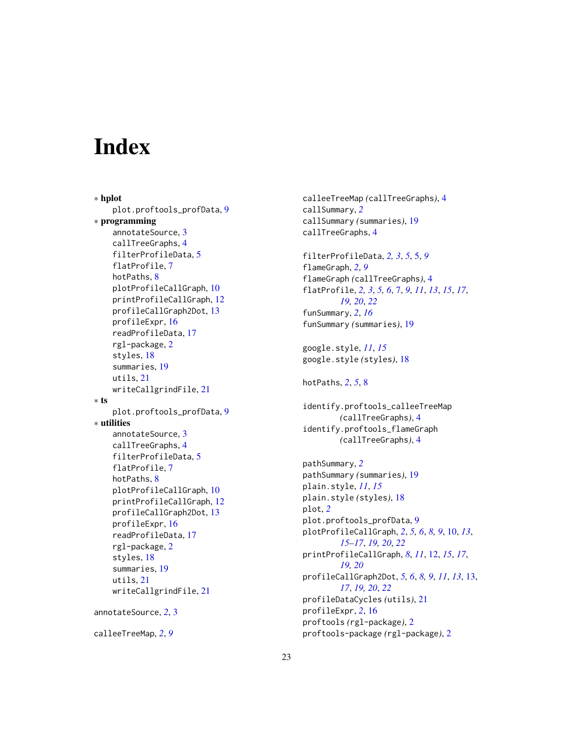# <span id="page-22-0"></span>**Index**

∗ hplot plot.proftools\_profData, [9](#page-8-0) ∗ programming annotateSource, [3](#page-2-0) callTreeGraphs, [4](#page-3-0) filterProfileData, [5](#page-4-0) flatProfile, [7](#page-6-0) hotPaths, [8](#page-7-0) plotProfileCallGraph, [10](#page-9-0) printProfileCallGraph, [12](#page-11-0) profileCallGraph2Dot, [13](#page-12-0) profileExpr, [16](#page-15-0) readProfileData, [17](#page-16-0) rgl-package, [2](#page-1-0) styles, [18](#page-17-0) summaries, [19](#page-18-0) utils, [21](#page-20-0) writeCallgrindFile, [21](#page-20-0) ∗ ts plot.proftools\_profData, [9](#page-8-0) ∗ utilities annotateSource, [3](#page-2-0) callTreeGraphs, [4](#page-3-0) filterProfileData, [5](#page-4-0) flatProfile, [7](#page-6-0) hotPaths, [8](#page-7-0) plotProfileCallGraph, [10](#page-9-0) printProfileCallGraph, [12](#page-11-0) profileCallGraph2Dot, [13](#page-12-0) profileExpr, [16](#page-15-0) readProfileData, [17](#page-16-0) rgl-package, [2](#page-1-0) styles, [18](#page-17-0) summaries, [19](#page-18-0) utils, [21](#page-20-0) writeCallgrindFile, [21](#page-20-0) annotateSource, *[2](#page-1-0)*, [3](#page-2-0)

calleeTreeMap, *[2](#page-1-0)*, *[9](#page-8-0)*

calleeTreeMap *(*callTreeGraphs*)*, [4](#page-3-0) callSummary, *[2](#page-1-0)* callSummary *(*summaries*)*, [19](#page-18-0) callTreeGraphs, [4](#page-3-0) filterProfileData, *[2,](#page-1-0) [3](#page-2-0)*, *[5](#page-4-0)*, [5,](#page-4-0) *[9](#page-8-0)* flameGraph, *[2](#page-1-0)*, *[9](#page-8-0)* flameGraph *(*callTreeGraphs*)*, [4](#page-3-0) flatProfile, *[2,](#page-1-0) [3](#page-2-0)*, *[5,](#page-4-0) [6](#page-5-0)*, [7,](#page-6-0) *[9](#page-8-0)*, *[11](#page-10-0)*, *[13](#page-12-0)*, *[15](#page-14-0)*, *[17](#page-16-0)*, *[19,](#page-18-0) [20](#page-19-0)*, *[22](#page-21-0)* funSummary, *[2](#page-1-0)*, *[16](#page-15-0)* funSummary *(*summaries*)*, [19](#page-18-0) google.style, *[11](#page-10-0)*, *[15](#page-14-0)* google.style *(*styles*)*, [18](#page-17-0) hotPaths, *[2](#page-1-0)*, *[5](#page-4-0)*, [8](#page-7-0) identify.proftools\_calleeTreeMap *(*callTreeGraphs*)*, [4](#page-3-0) identify.proftools\_flameGraph *(*callTreeGraphs*)*, [4](#page-3-0) pathSummary, *[2](#page-1-0)* pathSummary *(*summaries*)*, [19](#page-18-0) plain.style, *[11](#page-10-0)*, *[15](#page-14-0)* plain.style *(*styles*)*, [18](#page-17-0) plot, *[2](#page-1-0)* plot.proftools\_profData, [9](#page-8-0) plotProfileCallGraph, *[2](#page-1-0)*, *[5,](#page-4-0) [6](#page-5-0)*, *[8,](#page-7-0) [9](#page-8-0)*, [10,](#page-9-0) *[13](#page-12-0)*, *[15](#page-14-0)[–17](#page-16-0)*, *[19,](#page-18-0) [20](#page-19-0)*, *[22](#page-21-0)* printProfileCallGraph, *[8](#page-7-0)*, *[11](#page-10-0)*, [12,](#page-11-0) *[15](#page-14-0)*, *[17](#page-16-0)*, *[19,](#page-18-0) [20](#page-19-0)* profileCallGraph2Dot, *[5,](#page-4-0) [6](#page-5-0)*, *[8,](#page-7-0) [9](#page-8-0)*, *[11](#page-10-0)*, *[13](#page-12-0)*, [13,](#page-12-0) *[17](#page-16-0)*, *[19,](#page-18-0) [20](#page-19-0)*, *[22](#page-21-0)* profileDataCycles *(*utils*)*, [21](#page-20-0) profileExpr, *[2](#page-1-0)*, [16](#page-15-0) proftools *(*rgl-package*)*, [2](#page-1-0)

proftools-package *(*rgl-package*)*, [2](#page-1-0)